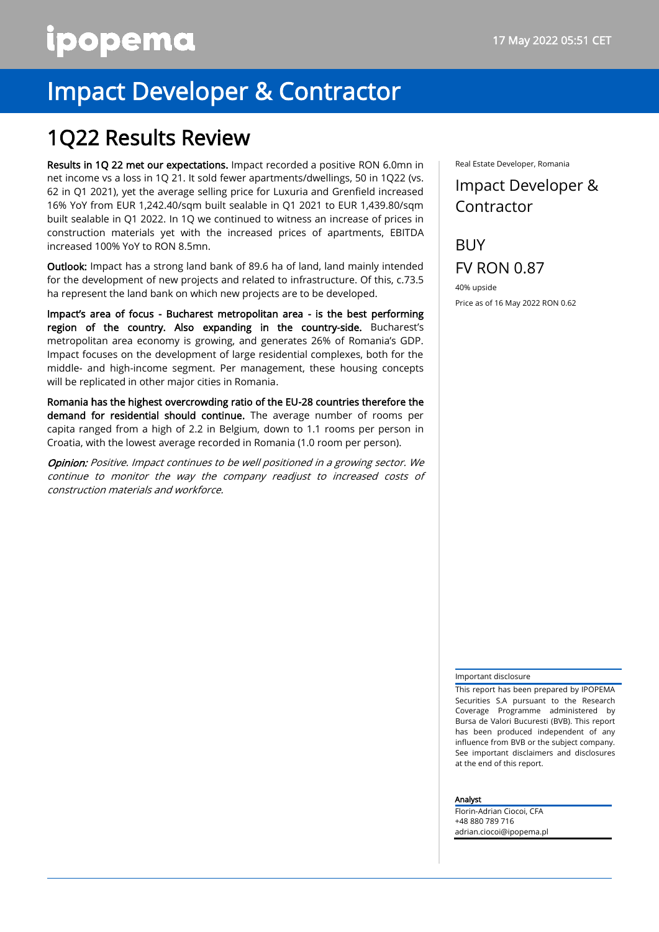# ipopema

## Impact Developer & Contractor

### 1Q22 Results Review

Results in 1Q 22 met our expectations. Impact recorded a positive RON 6.0mn in net income vs a loss in 1Q 21. It sold fewer apartments/dwellings, 50 in 1Q22 (vs. 62 in Q1 2021), yet the average selling price for Luxuria and Grenfield increased 16% YoY from EUR 1,242.40/sqm built sealable in Q1 2021 to EUR 1,439.80/sqm built sealable in Q1 2022. In 1Q we continued to witness an increase of prices in construction materials yet with the increased prices of apartments, EBITDA increased 100% YoY to RON 8.5mn.

Outlook: Impact has a strong land bank of 89.6 ha of land, land mainly intended for the development of new projects and related to infrastructure. Of this, c.73.5 ha represent the land bank on which new projects are to be developed.

Impact's area of focus - Bucharest metropolitan area - is the best performing region of the country. Also expanding in the country-side. Bucharest's metropolitan area economy is growing, and generates 26% of Romania's GDP. Impact focuses on the development of large residential complexes, both for the middle- and high-income segment. Per management, these housing concepts will be replicated in other major cities in Romania.

Romania has the highest overcrowding ratio of the EU-28 countries therefore the demand for residential should continue. The average number of rooms per capita ranged from a high of 2.2 in Belgium, down to 1.1 rooms per person in Croatia, with the lowest average recorded in Romania (1.0 room per person).

**Opinion:** Positive. Impact continues to be well positioned in a growing sector. We continue to monitor the way the company readjust to increased costs of construction materials and workforce.

Real Estate Developer, Romania

### Impact Developer & Contractor

**BUY** FV RON 0.87

40% upside Price as of 16 May 2022 RON 0.62

#### Important disclosure

This report has been prepared by IPOPEMA Securities S.A pursuant to the Research Coverage Programme administered by Bursa de Valori Bucuresti (BVB). This report has been produced independent of any influence from BVB or the subject company. See important disclaimers and disclosures at the end of this report.

#### Analyst

Florin-Adrian Ciocoi, CFA +48 880 789 716 adrian.ciocoi@ipopema.pl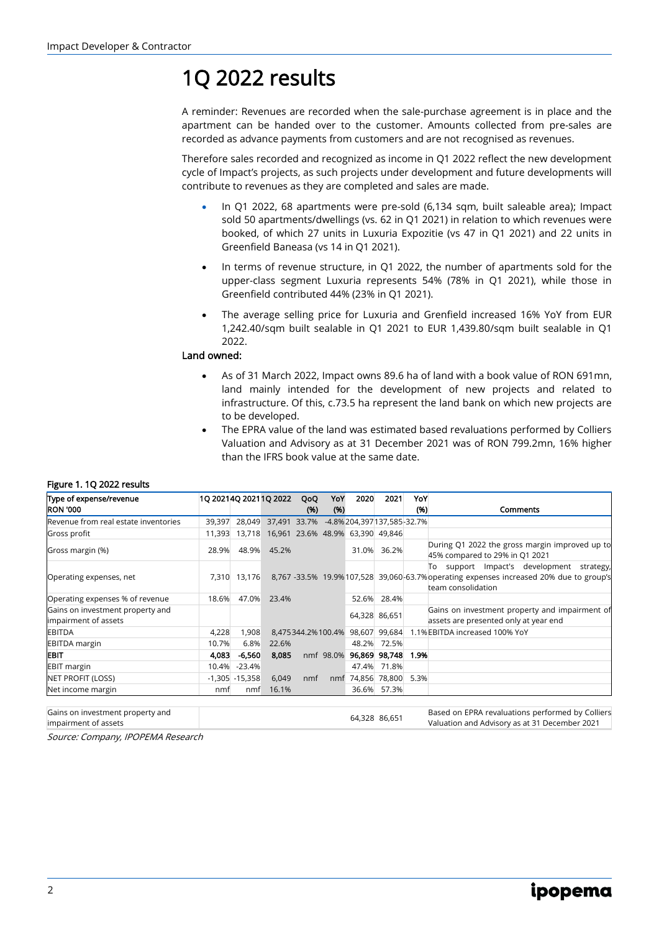### 1Q 2022 results

A reminder: Revenues are recorded when the sale-purchase agreement is in place and the apartment can be handed over to the customer. Amounts collected from pre-sales are recorded as advance payments from customers and are not recognised as revenues.

Therefore sales recorded and recognized as income in Q1 2022 reflect the new development cycle of Impact's projects, as such projects under development and future developments will contribute to revenues as they are completed and sales are made.

- In Q1 2022, 68 apartments were pre-sold (6,134 sqm, built saleable area); Impact sold 50 apartments/dwellings (vs. 62 in Q1 2021) in relation to which revenues were booked, of which 27 units in Luxuria Expozitie (vs 47 in Q1 2021) and 22 units in Greenfield Baneasa (vs 14 in Q1 2021).
- In terms of revenue structure, in Q1 2022, the number of apartments sold for the upper-class segment Luxuria represents 54% (78% in Q1 2021), while those in Greenfield contributed 44% (23% in Q1 2021).
- The average selling price for Luxuria and Grenfield increased 16% YoY from EUR 1,242.40/sqm built sealable in Q1 2021 to EUR 1,439.80/sqm built sealable in Q1 2022.

#### Land owned:

- As of 31 March 2022, Impact owns 89.6 ha of land with a book value of RON 691mn, land mainly intended for the development of new projects and related to infrastructure. Of this, c.73.5 ha represent the land bank on which new projects are to be developed.
- The EPRA value of the land was estimated based revaluations performed by Colliers Valuation and Advisory as at 31 December 2021 was of RON 799.2mn, 16% higher than the IFRS book value at the same date.

#### Figure 1. 1Q 2022 results

| Type of expense/revenue                                  |        |                   | 1Q 20214Q 20211Q 2022                                 | QoQ  | YoY  | 2020                            | 2021          | YoY  |                                                                                                                                                               |
|----------------------------------------------------------|--------|-------------------|-------------------------------------------------------|------|------|---------------------------------|---------------|------|---------------------------------------------------------------------------------------------------------------------------------------------------------------|
| <b>RON '000</b>                                          |        |                   |                                                       | (96) | (96) |                                 |               | (96) | <b>Comments</b>                                                                                                                                               |
| Revenue from real estate inventories                     |        |                   | 39,397 28,049 37,491 33.7% -4.8% 204,397137,585-32.7% |      |      |                                 |               |      |                                                                                                                                                               |
| Gross profit                                             | 11,393 |                   | 13,718 16,961 23.6% 48.9% 63,390 49,846               |      |      |                                 |               |      |                                                                                                                                                               |
| Gross margin (%)                                         | 28.9%  |                   | 48.9% 45.2%                                           |      |      |                                 | 31.0% 36.2%   |      | During Q1 2022 the gross margin improved up to<br>45% compared to 29% in Q1 2021                                                                              |
| Operating expenses, net                                  | 7,310  | 13,176            |                                                       |      |      |                                 |               |      | To support Impact's development<br>strategy,<br>8,767 -33.5% 19.9% 107,528 39,060-63.7% operating expenses increased 20% due to group's<br>team consolidation |
| Operating expenses % of revenue                          | 18.6%  | 47.0%             | 23.4%                                                 |      |      |                                 | 52.6% 28.4%   |      |                                                                                                                                                               |
| Gains on investment property and<br>impairment of assets |        |                   |                                                       |      |      |                                 | 64,328 86,651 |      | Gains on investment property and impairment of<br>assets are presented only at year end                                                                       |
| <b>EBITDA</b>                                            | 4,228  | 1,908             |                                                       |      |      | 8,475344.2%100.4% 98,607 99,684 |               |      | 1.1% EBITDA increased 100% YoY                                                                                                                                |
| <b>EBITDA</b> margin                                     | 10.7%  | 6.8%              | 22.6%                                                 |      |      |                                 | 48.2% 72.5%   |      |                                                                                                                                                               |
| EBIT                                                     | 4,083  | $-6,560$          | 8,085                                                 |      |      | nmf 98.0% 96,869 98,748         |               | 1.9% |                                                                                                                                                               |
| <b>EBIT margin</b>                                       | 10.4%  | $-23.4%$          |                                                       |      |      |                                 | 47.4% 71.8%   |      |                                                                                                                                                               |
| NET PROFIT (LOSS)                                        |        | $-1,305 - 15,358$ | 6,049                                                 | nmf  |      | nmf 74,856 78,800 5.3%          |               |      |                                                                                                                                                               |
| Net income margin                                        | nmf    | nmf               | 16.1%                                                 |      |      |                                 | 36.6% 57.3%   |      |                                                                                                                                                               |

Gains on investment property and impairment of assets 64,328 86,651 Based on EPRA revaluations performed by Colliers Valuation and Advisory as at 31 December 2021

Source: Company, IPOPEMA Research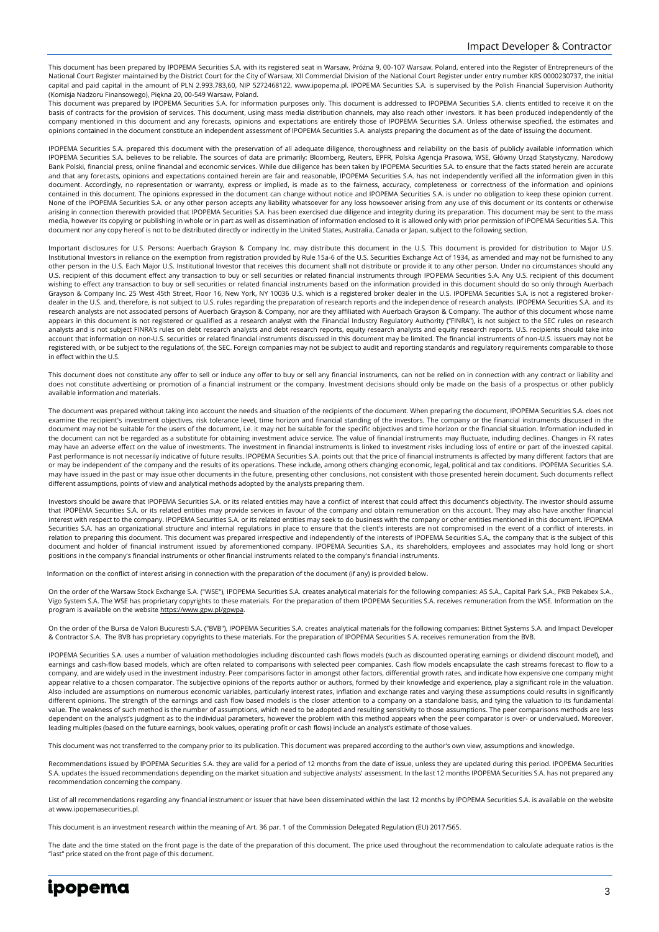This document has been prepared by IPOPEMA Securities S.A. with its registered seat in Warsaw, Próżna 9, 00-107 Warsaw, Poland, entered into the Register of Entrepreneurs of the National Court Register maintained by the District Court for the City of Warsaw, XII Commercial Division of the National Court Register under entry number KRS 0000230737, the initial capital and paid capital in the amount of PLN 2.993.783,60, NIP 5272468122, www.ipopema.pl. IPOPEMA Securities S.A. is supervised by the Polish Financial Supervision Authority (Komisja Nadzoru Finansowego), Piękna 20, 00-549 Warsaw, Poland.

This document was prepared by IPOPEMA Securities S.A. for information purposes only. This document is addressed to IPOPEMA Securities S.A. clients entitled to receive it on the basis of contracts for the provision of services. This document, using mass media distribution channels, may also reach other investors. It has been produced independently of the company mentioned in this document and any forecasts, opinions and expectations are entirely those of IPOPEMA Securities S.A. Unless otherwise specified, the estimates and opinions contained in the document constitute an independent assessment of IPOPEMA Securities S.A. analysts preparing the document as of the date of issuing the document.

IPOPEMA Securities S.A. prepared this document with the preservation of all adequate diligence, thoroughness and reliability on the basis of publicly available information which IPOPEMA Securities S.A. believes to be reliable. The sources of data are primarily: Bloomberg, Reuters, EPFR, Polska Agencja Prasowa, WSE, Główny Urząd Statystyczny, Narodowy Bank Polski, financial press, online financial and economic services. While due diligence has been taken by IPOPEMA Securities S.A. to ensure that the facts stated herein are accurate and that any forecasts, opinions and expectations contained herein are fair and reasonable, IPOPEMA Securities S.A. has not independently verified all the information given in this document. Accordingly, no representation or warranty, express or implied, is made as to the fairness, accuracy, completeness or correctness of the information and opinions contained in this document. The opinions expressed in the document can change without notice and IPOPEMA Securities S.A. is under no obligation to keep these opinion current. None of the IPOPEMA Securities S.A. or any other person accepts any liability whatsoever for any loss howsoever arising from any use of this document or its contents or otherwise arising in connection therewith provided that IPOPEMA Securities S.A. has been exercised due diligence and integrity during its preparation. This document may be sent to the mass media, however its copying or publishing in whole or in part as well as dissemination of information enclosed to it is allowed only with prior permission of IPOPEMA Securities S.A. This document nor any copy hereof is not to be distributed directly or indirectly in the United States, Australia, Canada or Japan, subject to the following section.

Important disclosures for U.S. Persons: Auerbach Grayson & Company Inc. may distribute this document in the U.S. This document is provided for distribution to Major U.S. Institutional Investors in reliance on the exemption from registration provided by Rule 15a-6 of the U.S. Securities Exchange Act of 1934, as amended and may not be furnished to any other person in the U.S. Each Major U.S. Institutional Investor that receives this document shall not distribute or provide it to any other person. Under no circumstances should any U.S. recipient of this document effect any transaction to buy or sell securities or related financial instruments through IPOPEMA Securities S.A. Any U.S. recipient of this document wishing to effect any transaction to buy or sell securities or related financial instruments based on the information provided in this document should do so only through Auerbach Grayson & Company Inc. 25 West 45th Street, Floor 16, New York, NY 10036 U.S. which is a registered broker dealer in the U.S. IPOPEMA Securities S.A. is not a registered brokerdealer in the U.S. and, therefore, is not subject to U.S. rules regarding the preparation of research reports and the independence of research analysts. IPOPEMA Securities S.A. and its research analysts are not associated persons of Auerbach Grayson & Company, nor are they affiliated with Auerbach Grayson & Company. The author of this document whose name appears in this document is not registered or qualified as a research analyst with the Financial Industry Regulatory Authority ("FINRA"), is not subject to the SEC rules on research analysts and is not subject FINRA's rules on debt research analysts and debt research reports, equity research analysts and equity research reports. U.S. recipients should take into account that information on non-U.S. securities or related financial instruments discussed in this document may be limited. The financial instruments of non-U.S. issuers may not be registered with, or be subject to the regulations of, the SEC. Foreign companies may not be subject to audit and reporting standards and regulatory requirements comparable to those in effect within the U.S.

This document does not constitute any offer to sell or induce any offer to buy or sell any financial instruments, can not be relied on in connection with any contract or liability and does not constitute advertising or promotion of a financial instrument or the company. Investment decisions should only be made on the basis of a prospectus or other publicly available information and materials.

The document was prepared without taking into account the needs and situation of the recipients of the document. When preparing the document, IPOPEMA Securities S.A. does not examine the recipient's investment objectives, risk tolerance level, time horizon and financial standing of the investors. The company or the financial instruments discussed in the document may not be suitable for the users of the document, i.e. it may not be suitable for the specific objectives and time horizon or the financial situation. Information included in the document can not be regarded as a substitute for obtaining investment advice service. The value of financial instruments may fluctuate, including declines. Changes in FX rates may have an adverse effect on the value of investments. The investment in financial instruments is linked to investment risks including loss of entire or part of the invested capital. Past performance is not necessarily indicative of future results. IPOPEMA Securities S.A. points out that the price of financial instruments is affected by many different factors that are or may be independent of the company and the results of its operations. These include, among others changing economic, legal, political and tax conditions. IPOPEMA Securities S.A. may have issued in the past or may issue other documents in the future, presenting other conclusions, not consistent with those presented herein document. Such documents reflect different assumptions, points of view and analytical methods adopted by the analysts preparing them.

Investors should be aware that IPOPEMA Securities S.A. or its related entities may have a conflict of interest that could affect this document's objectivity. The investor should assume that IPOPEMA Securities S.A. or its related entities may provide services in favour of the company and obtain remuneration on this account. They may also have another financial interest with respect to the company. IPOPEMA Securities S.A. or its related entities may seek to do business with the company or other entities mentioned in this document. IPOPEMA Securities S.A. has an organizational structure and internal regulations in place to ensure that the client's interests are not compromised in the event of a conflict of interests, in relation to preparing this document. This document was prepared irrespective and independently of the interests of IPOPEMA Securities S.A., the company that is the subject of this document and holder of financial instrument issued by aforementioned company. IPOPEMA Securities S.A., its shareholders, employees and associates may hold long or short positions in the company's financial instruments or other financial instruments related to the company's financial instruments.

Information on the conflict of interest arising in connection with the preparation of the document (if any) is provided below.

On the order of the Warsaw Stock Exchange S.A. ("WSE"), IPOPEMA Securities S.A. creates analytical materials for the following companies: AS S.A., Capital Park S.A., PKB Pekabex S.A., Vigo System S.A. The WSE has proprietary copyrights to these materials. For the preparation of them IPOPEMA Securities S.A. receives remuneration from the WSE. Information on the program is available on the websit[e https://www.gpw.pl/gpwpa.](https://www.gpw.pl/gpwpa)

On the order of the Bursa de Valori Bucuresti S.A. ("BVB"), IPOPEMA Securities S.A. creates analytical materials for the following companies: Bittnet Systems S.A. and Impact Developer & Contractor S.A. The BVB has proprietary copyrights to these materials. For the preparation of IPOPEMA Securities S.A. receives remuneration from the BVB.

IPOPEMA Securities S.A. uses a number of valuation methodologies including discounted cash flows models (such as discounted operating earnings or dividend discount model), and earnings and cash-flow based models, which are often related to comparisons with selected peer companies. Cash flow models encapsulate the cash streams forecast to flow to a company, and are widely used in the investment industry. Peer comparisons factor in amongst other factors, differential growth rates, and indicate how expensive one company might appear relative to a chosen comparator. The subjective opinions of the reports author or authors, formed by their knowledge and experience, play a significant role in the valuation. Also included are assumptions on numerous economic variables, particularly interest rates, inflation and exchange rates and varying these assumptions could results in significantly different opinions. The strength of the earnings and cash flow based models is the closer attention to a company on a standalone basis, and tying the valuation to its fundamental value. The weakness of such method is the number of assumptions, which need to be adopted and resulting sensitivity to those assumptions. The peer comparisons methods are less dependent on the analyst's judgment as to the individual parameters, however the problem with this method appears when the peer comparator is over- or undervalued. Moreover, leading multiples (based on the future earnings, book values, operating profit or cash flows) include an analyst's estimate of those values.

This document was not transferred to the company prior to its publication. This document was prepared according to the author's own view, assumptions and knowledge.

Recommendations issued by IPOPEMA Securities S.A. they are valid for a period of 12 months from the date of issue, unless they are updated during this period. IPOPEMA Securities S.A. updates the issued recommendations depending on the market situation and subjective analysts' assessment. In the last 12 months IPOPEMA Securities S.A. has not prepared any recommendation concerning the company.

List of all recommendations regarding any financial instrument or issuer that have been disseminated within the last 12 months by IPOPEMA Securities S.A. is available on the website at www.ipopemasecurities.pl.

This document is an investment research within the meaning of Art. 36 par. 1 of the Commission Delegated Regulation (EU) 2017/565.

The date and the time stated on the front page is the date of the preparation of this document. The price used throughout the recommendation to calculate adequate ratios is the "last" price stated on the front page of this document.